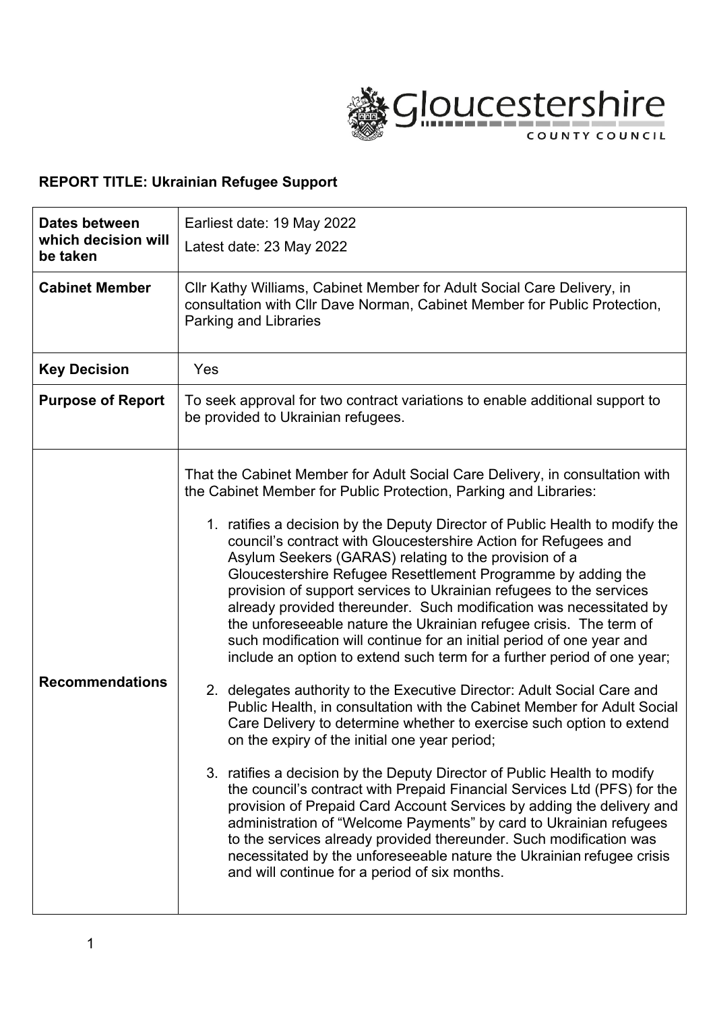

# **REPORT TITLE: Ukrainian Refugee Support**

| Dates between<br>which decision will<br>be taken | Earliest date: 19 May 2022<br>Latest date: 23 May 2022                                                                                                                                                                                                                                                                                                                                                                                                                                                                                                                                                                                                                                                                                                                                                                                                                                                                                                                                                                                                                                                                                                                                                                                                                                                                                                                                                                                                                                                                                                                                    |  |  |  |  |
|--------------------------------------------------|-------------------------------------------------------------------------------------------------------------------------------------------------------------------------------------------------------------------------------------------------------------------------------------------------------------------------------------------------------------------------------------------------------------------------------------------------------------------------------------------------------------------------------------------------------------------------------------------------------------------------------------------------------------------------------------------------------------------------------------------------------------------------------------------------------------------------------------------------------------------------------------------------------------------------------------------------------------------------------------------------------------------------------------------------------------------------------------------------------------------------------------------------------------------------------------------------------------------------------------------------------------------------------------------------------------------------------------------------------------------------------------------------------------------------------------------------------------------------------------------------------------------------------------------------------------------------------------------|--|--|--|--|
| <b>Cabinet Member</b>                            | CIIr Kathy Williams, Cabinet Member for Adult Social Care Delivery, in<br>consultation with Cllr Dave Norman, Cabinet Member for Public Protection,<br>Parking and Libraries                                                                                                                                                                                                                                                                                                                                                                                                                                                                                                                                                                                                                                                                                                                                                                                                                                                                                                                                                                                                                                                                                                                                                                                                                                                                                                                                                                                                              |  |  |  |  |
| <b>Key Decision</b>                              | Yes                                                                                                                                                                                                                                                                                                                                                                                                                                                                                                                                                                                                                                                                                                                                                                                                                                                                                                                                                                                                                                                                                                                                                                                                                                                                                                                                                                                                                                                                                                                                                                                       |  |  |  |  |
| <b>Purpose of Report</b>                         | To seek approval for two contract variations to enable additional support to<br>be provided to Ukrainian refugees.                                                                                                                                                                                                                                                                                                                                                                                                                                                                                                                                                                                                                                                                                                                                                                                                                                                                                                                                                                                                                                                                                                                                                                                                                                                                                                                                                                                                                                                                        |  |  |  |  |
| <b>Recommendations</b>                           | That the Cabinet Member for Adult Social Care Delivery, in consultation with<br>the Cabinet Member for Public Protection, Parking and Libraries:<br>1. ratifies a decision by the Deputy Director of Public Health to modify the<br>council's contract with Gloucestershire Action for Refugees and<br>Asylum Seekers (GARAS) relating to the provision of a<br>Gloucestershire Refugee Resettlement Programme by adding the<br>provision of support services to Ukrainian refugees to the services<br>already provided thereunder. Such modification was necessitated by<br>the unforeseeable nature the Ukrainian refugee crisis. The term of<br>such modification will continue for an initial period of one year and<br>include an option to extend such term for a further period of one year;<br>2. delegates authority to the Executive Director: Adult Social Care and<br>Public Health, in consultation with the Cabinet Member for Adult Social<br>Care Delivery to determine whether to exercise such option to extend<br>on the expiry of the initial one year period;<br>3. ratifies a decision by the Deputy Director of Public Health to modify<br>the council's contract with Prepaid Financial Services Ltd (PFS) for the<br>provision of Prepaid Card Account Services by adding the delivery and<br>administration of "Welcome Payments" by card to Ukrainian refugees<br>to the services already provided thereunder. Such modification was<br>necessitated by the unforeseeable nature the Ukrainian refugee crisis<br>and will continue for a period of six months. |  |  |  |  |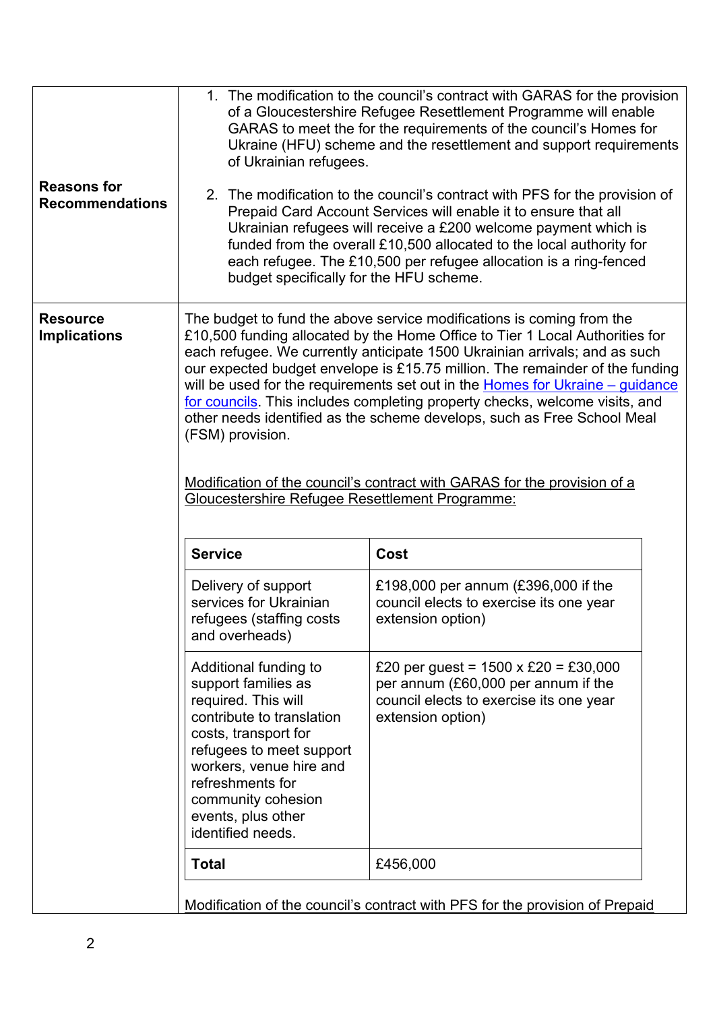| <b>Reasons for</b><br><b>Recommendations</b> | 1. The modification to the council's contract with GARAS for the provision<br>of a Gloucestershire Refugee Resettlement Programme will enable<br>GARAS to meet the for the requirements of the council's Homes for<br>Ukraine (HFU) scheme and the resettlement and support requirements<br>of Ukrainian refugees.<br>2. The modification to the council's contract with PFS for the provision of<br>Prepaid Card Account Services will enable it to ensure that all<br>Ukrainian refugees will receive a £200 welcome payment which is<br>funded from the overall £10,500 allocated to the local authority for<br>each refugee. The £10,500 per refugee allocation is a ring-fenced<br>budget specifically for the HFU scheme. |                                                                                                                                                    |  |  |  |  |
|----------------------------------------------|---------------------------------------------------------------------------------------------------------------------------------------------------------------------------------------------------------------------------------------------------------------------------------------------------------------------------------------------------------------------------------------------------------------------------------------------------------------------------------------------------------------------------------------------------------------------------------------------------------------------------------------------------------------------------------------------------------------------------------|----------------------------------------------------------------------------------------------------------------------------------------------------|--|--|--|--|
| <b>Resource</b><br><b>Implications</b>       | The budget to fund the above service modifications is coming from the<br>£10,500 funding allocated by the Home Office to Tier 1 Local Authorities for<br>each refugee. We currently anticipate 1500 Ukrainian arrivals; and as such<br>our expected budget envelope is £15.75 million. The remainder of the funding<br>will be used for the requirements set out in the Homes for Ukraine – guidance<br>for councils. This includes completing property checks, welcome visits, and<br>other needs identified as the scheme develops, such as Free School Meal<br>(FSM) provision.<br>Modification of the council's contract with GARAS for the provision of a<br>Gloucestershire Refugee Resettlement Programme:               |                                                                                                                                                    |  |  |  |  |
|                                              | <b>Service</b><br>Delivery of support<br>services for Ukrainian<br>refugees (staffing costs<br>and overheads)                                                                                                                                                                                                                                                                                                                                                                                                                                                                                                                                                                                                                   | Cost<br>£198,000 per annum (£396,000 if the<br>council elects to exercise its one year<br>extension option)                                        |  |  |  |  |
|                                              | Additional funding to<br>support families as<br>required. This will<br>contribute to translation<br>costs, transport for<br>refugees to meet support<br>workers, venue hire and<br>refreshments for<br>community cohesion<br>events, plus other<br>identified needs.                                                                                                                                                                                                                                                                                                                                                                                                                                                            | £20 per guest = $1500 \times £20 = £30,000$<br>per annum (£60,000 per annum if the<br>council elects to exercise its one year<br>extension option) |  |  |  |  |
|                                              | <b>Total</b><br>£456,000                                                                                                                                                                                                                                                                                                                                                                                                                                                                                                                                                                                                                                                                                                        |                                                                                                                                                    |  |  |  |  |
|                                              | Modification of the council's contract with PFS for the provision of Prepaid                                                                                                                                                                                                                                                                                                                                                                                                                                                                                                                                                                                                                                                    |                                                                                                                                                    |  |  |  |  |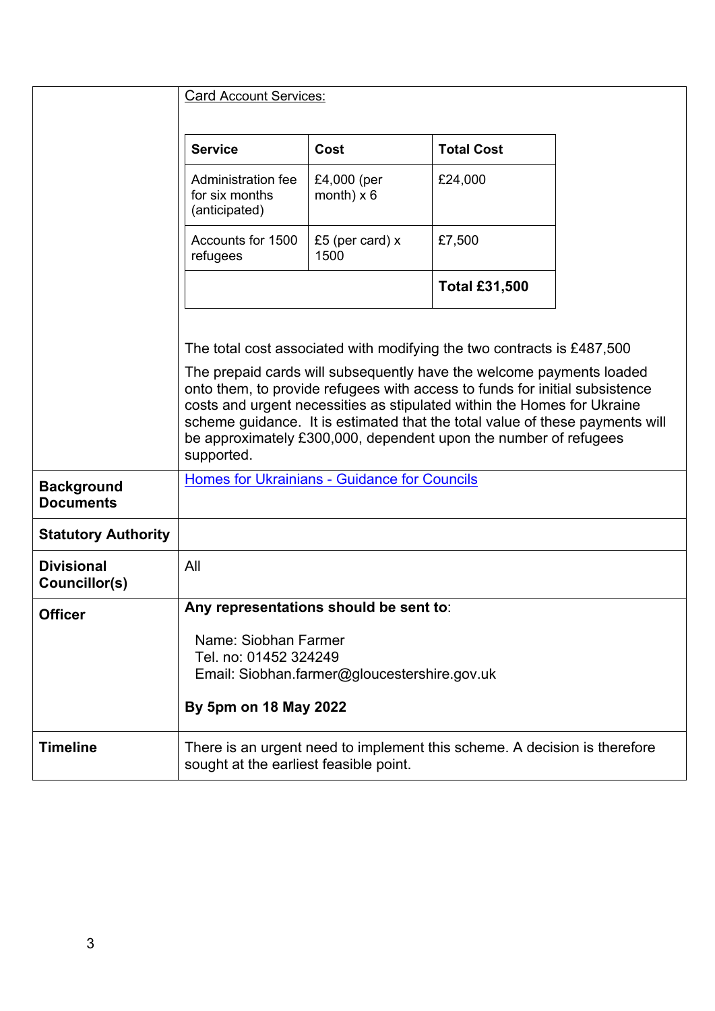|                                       | Card Account Services:                                                                                                                                                                                                                                                                                                                                                                                                                                                     |                                  |                      |  |  |  |
|---------------------------------------|----------------------------------------------------------------------------------------------------------------------------------------------------------------------------------------------------------------------------------------------------------------------------------------------------------------------------------------------------------------------------------------------------------------------------------------------------------------------------|----------------------------------|----------------------|--|--|--|
|                                       | <b>Service</b>                                                                                                                                                                                                                                                                                                                                                                                                                                                             | Cost                             | <b>Total Cost</b>    |  |  |  |
|                                       | Administration fee<br>for six months<br>(anticipated)                                                                                                                                                                                                                                                                                                                                                                                                                      | £4,000 (per<br>month) $\times$ 6 | £24,000              |  |  |  |
|                                       | Accounts for 1500<br>refugees                                                                                                                                                                                                                                                                                                                                                                                                                                              | £5 (per card) $x$<br>1500        | £7,500               |  |  |  |
|                                       |                                                                                                                                                                                                                                                                                                                                                                                                                                                                            |                                  | <b>Total £31,500</b> |  |  |  |
|                                       | The total cost associated with modifying the two contracts is £487,500<br>The prepaid cards will subsequently have the welcome payments loaded<br>onto them, to provide refugees with access to funds for initial subsistence<br>costs and urgent necessities as stipulated within the Homes for Ukraine<br>scheme guidance. It is estimated that the total value of these payments will<br>be approximately £300,000, dependent upon the number of refugees<br>supported. |                                  |                      |  |  |  |
|                                       |                                                                                                                                                                                                                                                                                                                                                                                                                                                                            |                                  |                      |  |  |  |
| <b>Background</b><br><b>Documents</b> | Homes for Ukrainians - Guidance for Councils                                                                                                                                                                                                                                                                                                                                                                                                                               |                                  |                      |  |  |  |
| <b>Statutory Authority</b>            |                                                                                                                                                                                                                                                                                                                                                                                                                                                                            |                                  |                      |  |  |  |
| <b>Divisional</b><br>Councillor(s)    | All                                                                                                                                                                                                                                                                                                                                                                                                                                                                        |                                  |                      |  |  |  |
| <b>Officer</b>                        | Any representations should be sent to:                                                                                                                                                                                                                                                                                                                                                                                                                                     |                                  |                      |  |  |  |
|                                       | Name: Siobhan Farmer<br>Tel. no: 01452 324249<br>Email: Siobhan.farmer@gloucestershire.gov.uk                                                                                                                                                                                                                                                                                                                                                                              |                                  |                      |  |  |  |
|                                       | By 5pm on 18 May 2022                                                                                                                                                                                                                                                                                                                                                                                                                                                      |                                  |                      |  |  |  |
| <b>Timeline</b>                       | There is an urgent need to implement this scheme. A decision is therefore<br>sought at the earliest feasible point.                                                                                                                                                                                                                                                                                                                                                        |                                  |                      |  |  |  |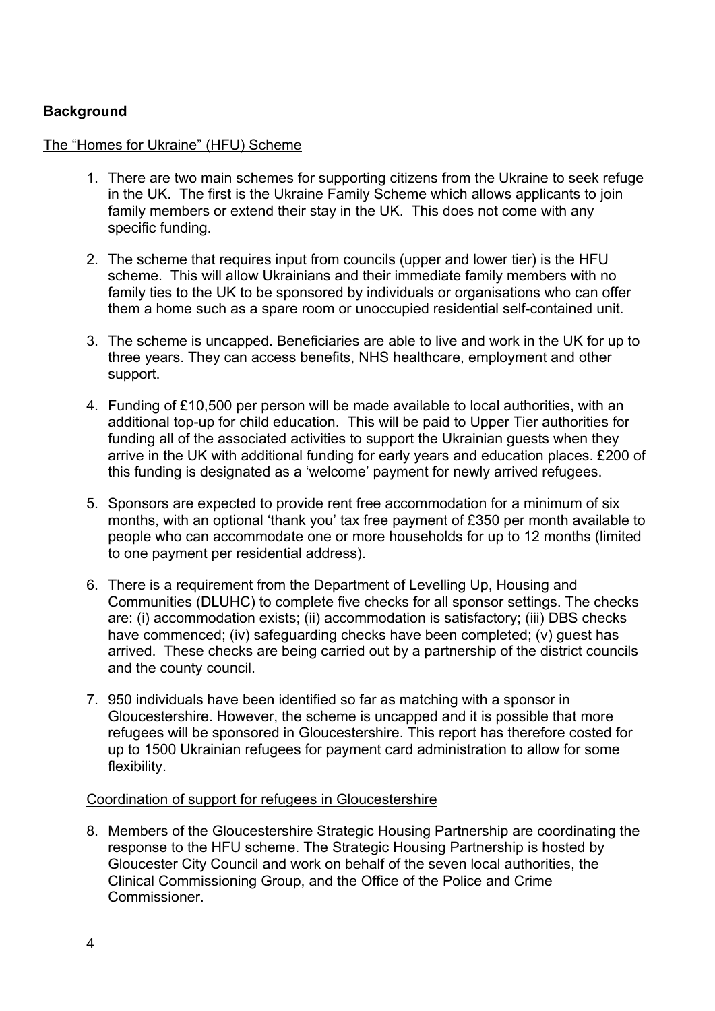## **Background**

## The "Homes for Ukraine" (HFU) Scheme

- 1. There are two main schemes for supporting citizens from the Ukraine to seek refuge in the UK. The first is the Ukraine Family Scheme which allows applicants to join family members or extend their stay in the UK. This does not come with any specific funding.
- 2. The scheme that requires input from councils (upper and lower tier) is the HFU scheme. This will allow Ukrainians and their immediate family members with no family ties to the UK to be sponsored by individuals or organisations who can offer them a home such as a spare room or unoccupied residential self-contained unit.
- 3. The scheme is uncapped. Beneficiaries are able to live and work in the UK for up to three years. They can access benefits, NHS healthcare, employment and other support.
- 4. Funding of £10,500 per person will be made available to local authorities, with an additional top-up for child education. This will be paid to Upper Tier authorities for funding all of the associated activities to support the Ukrainian guests when they arrive in the UK with additional funding for early years and education places. £200 of this funding is designated as a 'welcome' payment for newly arrived refugees.
- 5. Sponsors are expected to provide rent free accommodation for a minimum of six months, with an optional 'thank you' tax free payment of £350 per month available to people who can accommodate one or more households for up to 12 months (limited to one payment per residential address).
- 6. There is a requirement from the Department of Levelling Up, Housing and Communities (DLUHC) to complete five checks for all sponsor settings. The checks are: (i) accommodation exists; (ii) accommodation is satisfactory; (iii) DBS checks have commenced; (iv) safeguarding checks have been completed; (v) guest has arrived. These checks are being carried out by a partnership of the district councils and the county council.
- 7. 950 individuals have been identified so far as matching with a sponsor in Gloucestershire. However, the scheme is uncapped and it is possible that more refugees will be sponsored in Gloucestershire. This report has therefore costed for up to 1500 Ukrainian refugees for payment card administration to allow for some flexibility.

## Coordination of support for refugees in Gloucestershire

8. Members of the Gloucestershire Strategic Housing Partnership are coordinating the response to the HFU scheme. The Strategic Housing Partnership is hosted by Gloucester City Council and work on behalf of the seven local authorities, the Clinical Commissioning Group, and the Office of the Police and Crime **Commissioner**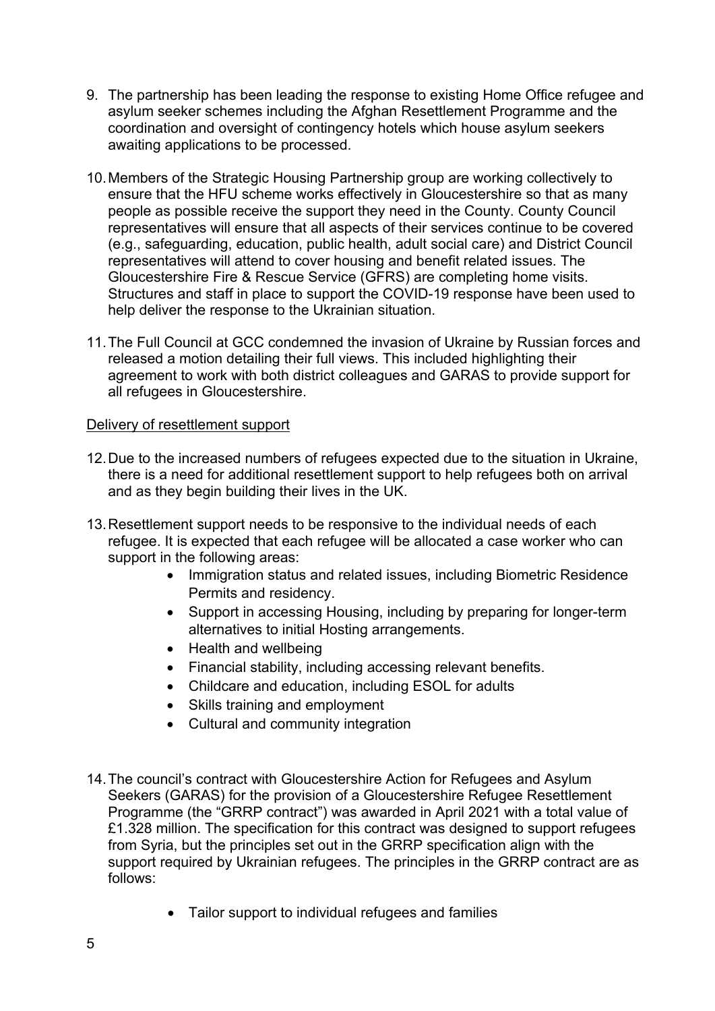- 9. The partnership has been leading the response to existing Home Office refugee and asylum seeker schemes including the Afghan Resettlement Programme and the coordination and oversight of contingency hotels which house asylum seekers awaiting applications to be processed.
- 10.Members of the Strategic Housing Partnership group are working collectively to ensure that the HFU scheme works effectively in Gloucestershire so that as many people as possible receive the support they need in the County. County Council representatives will ensure that all aspects of their services continue to be covered (e.g., safeguarding, education, public health, adult social care) and District Council representatives will attend to cover housing and benefit related issues. The Gloucestershire Fire & Rescue Service (GFRS) are completing home visits. Structures and staff in place to support the COVID-19 response have been used to help deliver the response to the Ukrainian situation.
- 11.The Full Council at GCC condemned the invasion of Ukraine by Russian forces and released a motion detailing their full views. This included highlighting their agreement to work with both district colleagues and GARAS to provide support for all refugees in Gloucestershire.

## Delivery of resettlement support

- 12.Due to the increased numbers of refugees expected due to the situation in Ukraine, there is a need for additional resettlement support to help refugees both on arrival and as they begin building their lives in the UK.
- 13.Resettlement support needs to be responsive to the individual needs of each refugee. It is expected that each refugee will be allocated a case worker who can support in the following areas:
	- Immigration status and related issues, including Biometric Residence Permits and residency.
	- Support in accessing Housing, including by preparing for longer-term alternatives to initial Hosting arrangements.
	- Health and wellbeing
	- Financial stability, including accessing relevant benefits.
	- Childcare and education, including ESOL for adults
	- Skills training and employment
	- Cultural and community integration
- 14.The council's contract with Gloucestershire Action for Refugees and Asylum Seekers (GARAS) for the provision of a Gloucestershire Refugee Resettlement Programme (the "GRRP contract") was awarded in April 2021 with a total value of £1.328 million. The specification for this contract was designed to support refugees from Syria, but the principles set out in the GRRP specification align with the support required by Ukrainian refugees. The principles in the GRRP contract are as follows:
	- Tailor support to individual refugees and families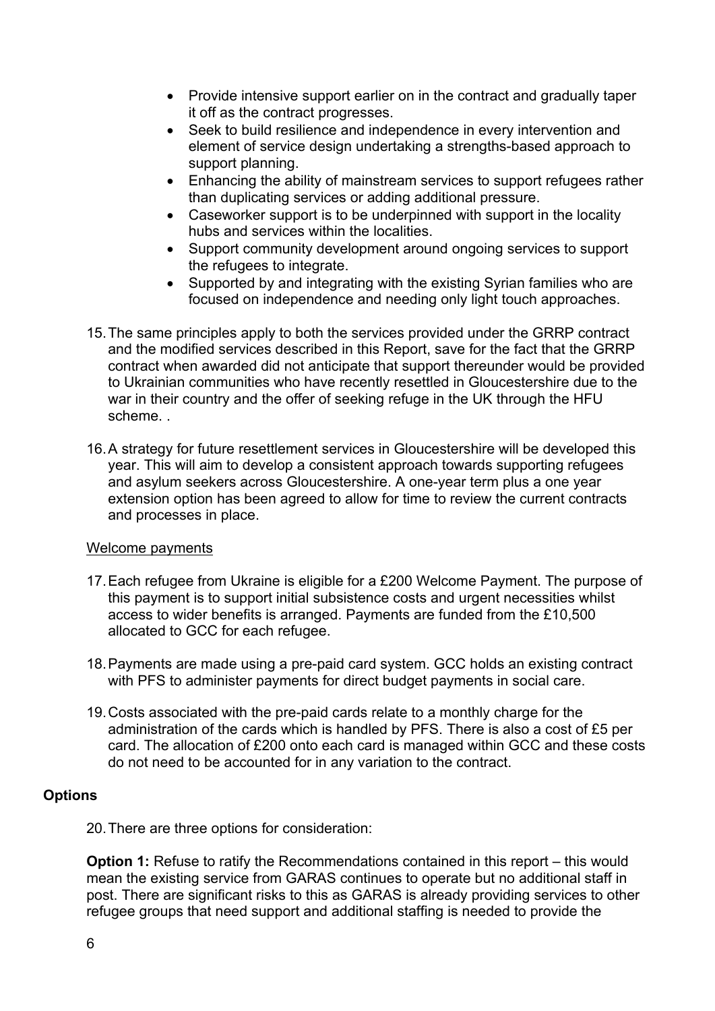- Provide intensive support earlier on in the contract and gradually taper it off as the contract progresses.
- Seek to build resilience and independence in every intervention and element of service design undertaking a strengths-based approach to support planning.
- Enhancing the ability of mainstream services to support refugees rather than duplicating services or adding additional pressure.
- Caseworker support is to be underpinned with support in the locality hubs and services within the localities.
- Support community development around ongoing services to support the refugees to integrate.
- Supported by and integrating with the existing Syrian families who are focused on independence and needing only light touch approaches.
- 15.The same principles apply to both the services provided under the GRRP contract and the modified services described in this Report, save for the fact that the GRRP contract when awarded did not anticipate that support thereunder would be provided to Ukrainian communities who have recently resettled in Gloucestershire due to the war in their country and the offer of seeking refuge in the UK through the HFU scheme. .
- 16.A strategy for future resettlement services in Gloucestershire will be developed this year. This will aim to develop a consistent approach towards supporting refugees and asylum seekers across Gloucestershire. A one-year term plus a one year extension option has been agreed to allow for time to review the current contracts and processes in place.

## Welcome payments

- 17.Each refugee from Ukraine is eligible for a £200 Welcome Payment. The purpose of this payment is to support initial subsistence costs and urgent necessities whilst access to wider benefits is arranged. Payments are funded from the £10,500 allocated to GCC for each refugee.
- 18.Payments are made using a pre-paid card system. GCC holds an existing contract with PFS to administer payments for direct budget payments in social care.
- 19.Costs associated with the pre-paid cards relate to a monthly charge for the administration of the cards which is handled by PFS. There is also a cost of £5 per card. The allocation of £200 onto each card is managed within GCC and these costs do not need to be accounted for in any variation to the contract.

## **Options**

20.There are three options for consideration:

**Option 1:** Refuse to ratify the Recommendations contained in this report – this would mean the existing service from GARAS continues to operate but no additional staff in post. There are significant risks to this as GARAS is already providing services to other refugee groups that need support and additional staffing is needed to provide the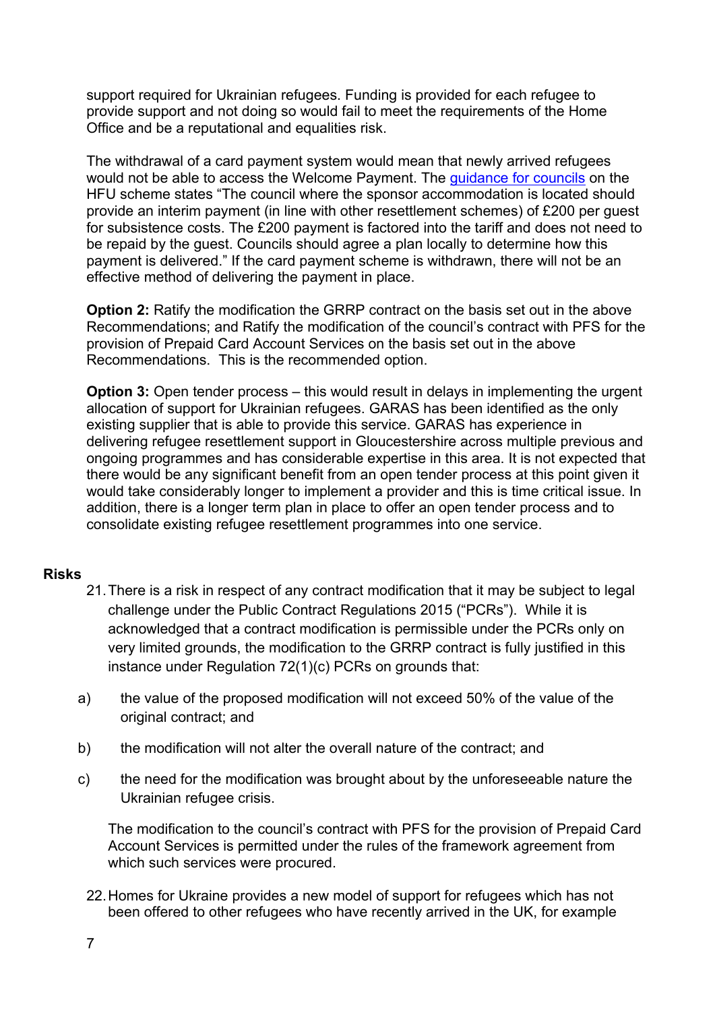support required for Ukrainian refugees. Funding is provided for each refugee to provide support and not doing so would fail to meet the requirements of the Home Office and be a reputational and equalities risk.

The withdrawal of a card payment system would mean that newly arrived refugees would not be able to access the Welcome Payment. The [guidance](https://www.gov.uk/guidance/homes-for-ukraine-guidance-for-councils) for councils on the HFU scheme states "The council where the sponsor accommodation is located should provide an interim payment (in line with other resettlement schemes) of £200 per guest for subsistence costs. The £200 payment is factored into the tariff and does not need to be repaid by the guest. Councils should agree a plan locally to determine how this payment is delivered." If the card payment scheme is withdrawn, there will not be an effective method of delivering the payment in place.

**Option 2:** Ratify the modification the GRRP contract on the basis set out in the above Recommendations; and Ratify the modification of the council's contract with PFS for the provision of Prepaid Card Account Services on the basis set out in the above Recommendations. This is the recommended option.

**Option 3:** Open tender process – this would result in delays in implementing the urgent allocation of support for Ukrainian refugees. GARAS has been identified as the only existing supplier that is able to provide this service. GARAS has experience in delivering refugee resettlement support in Gloucestershire across multiple previous and ongoing programmes and has considerable expertise in this area. It is not expected that there would be any significant benefit from an open tender process at this point given it would take considerably longer to implement a provider and this is time critical issue. In addition, there is a longer term plan in place to offer an open tender process and to consolidate existing refugee resettlement programmes into one service.

## **Risks**

- 21.There is a risk in respect of any contract modification that it may be subject to legal challenge under the Public Contract Regulations 2015 ("PCRs"). While it is acknowledged that a contract modification is permissible under the PCRs only on very limited grounds, the modification to the GRRP contract is fully justified in this instance under Regulation 72(1)(c) PCRs on grounds that:
- a) the value of the proposed modification will not exceed 50% of the value of the original contract; and
- b) the modification will not alter the overall nature of the contract; and
- c) the need for the modification was brought about by the unforeseeable nature the Ukrainian refugee crisis.

The modification to the council's contract with PFS for the provision of Prepaid Card Account Services is permitted under the rules of the framework agreement from which such services were procured.

22.Homes for Ukraine provides a new model of support for refugees which has not been offered to other refugees who have recently arrived in the UK, for example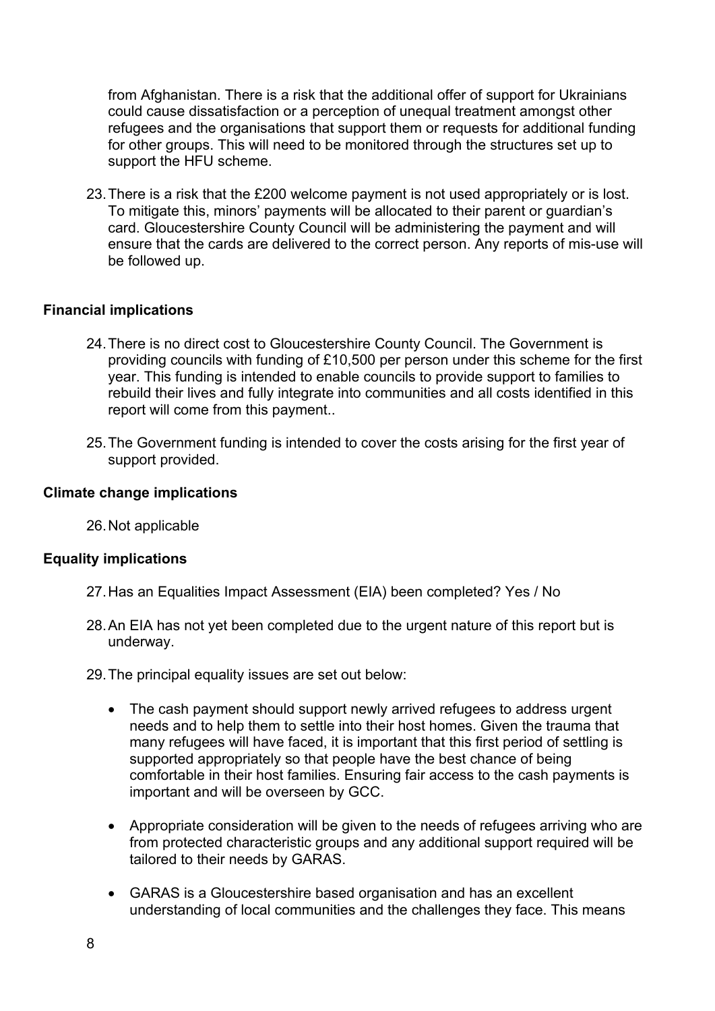from Afghanistan. There is a risk that the additional offer of support for Ukrainians could cause dissatisfaction or a perception of unequal treatment amongst other refugees and the organisations that support them or requests for additional funding for other groups. This will need to be monitored through the structures set up to support the HFU scheme.

23.There is a risk that the £200 welcome payment is not used appropriately or is lost. To mitigate this, minors' payments will be allocated to their parent or guardian's card. Gloucestershire County Council will be administering the payment and will ensure that the cards are delivered to the correct person. Any reports of mis-use will be followed up.

## **Financial implications**

- 24.There is no direct cost to Gloucestershire County Council. The Government is providing councils with funding of £10,500 per person under this scheme for the first year. This funding is intended to enable councils to provide support to families to rebuild their lives and fully integrate into communities and all costs identified in this report will come from this payment..
- 25.The Government funding is intended to cover the costs arising for the first year of support provided.

## **Climate change implications**

26.Not applicable

## **Equality implications**

- 27.Has an Equalities Impact Assessment (EIA) been completed? Yes / No
- 28.An EIA has not yet been completed due to the urgent nature of this report but is underway.

29.The principal equality issues are set out below:

- The cash payment should support newly arrived refugees to address urgent needs and to help them to settle into their host homes. Given the trauma that many refugees will have faced, it is important that this first period of settling is supported appropriately so that people have the best chance of being comfortable in their host families. Ensuring fair access to the cash payments is important and will be overseen by GCC.
- Appropriate consideration will be given to the needs of refugees arriving who are from protected characteristic groups and any additional support required will be tailored to their needs by GARAS.
- GARAS is a Gloucestershire based organisation and has an excellent understanding of local communities and the challenges they face. This means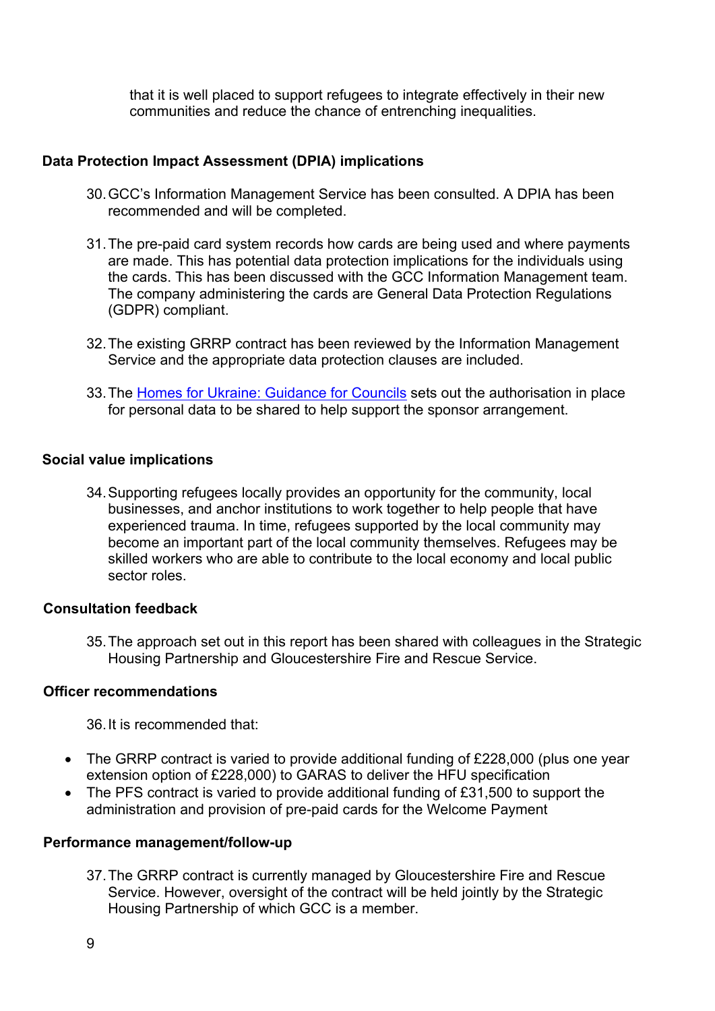that it is well placed to support refugees to integrate effectively in their new communities and reduce the chance of entrenching inequalities.

## **Data Protection Impact Assessment (DPIA) implications**

- 30.GCC's Information Management Service has been consulted. A DPIA has been recommended and will be completed.
- 31.The pre-paid card system records how cards are being used and where payments are made. This has potential data protection implications for the individuals using the cards. This has been discussed with the GCC Information Management team. The company administering the cards are General Data Protection Regulations (GDPR) compliant.
- 32.The existing GRRP contract has been reviewed by the Information Management Service and the appropriate data protection clauses are included.
- 33.The Homes for Ukraine: [Guidance](https://www.gov.uk/guidance/homes-for-ukraine-guidance-for-councils) for Councils sets out the authorisation in place for personal data to be shared to help support the sponsor arrangement.

## **Social value implications**

34.Supporting refugees locally provides an opportunity for the community, local businesses, and anchor institutions to work together to help people that have experienced trauma. In time, refugees supported by the local community may become an important part of the local community themselves. Refugees may be skilled workers who are able to contribute to the local economy and local public sector roles.

## **Consultation feedback**

35.The approach set out in this report has been shared with colleagues in the Strategic Housing Partnership and Gloucestershire Fire and Rescue Service.

## **Officer recommendations**

36.It is recommended that:

- The GRRP contract is varied to provide additional funding of £228,000 (plus one year extension option of £228,000) to GARAS to deliver the HFU specification
- The PFS contract is varied to provide additional funding of £31,500 to support the administration and provision of pre-paid cards for the Welcome Payment

## **Performance management/follow-up**

37.The GRRP contract is currently managed by Gloucestershire Fire and Rescue Service. However, oversight of the contract will be held jointly by the Strategic Housing Partnership of which GCC is a member.